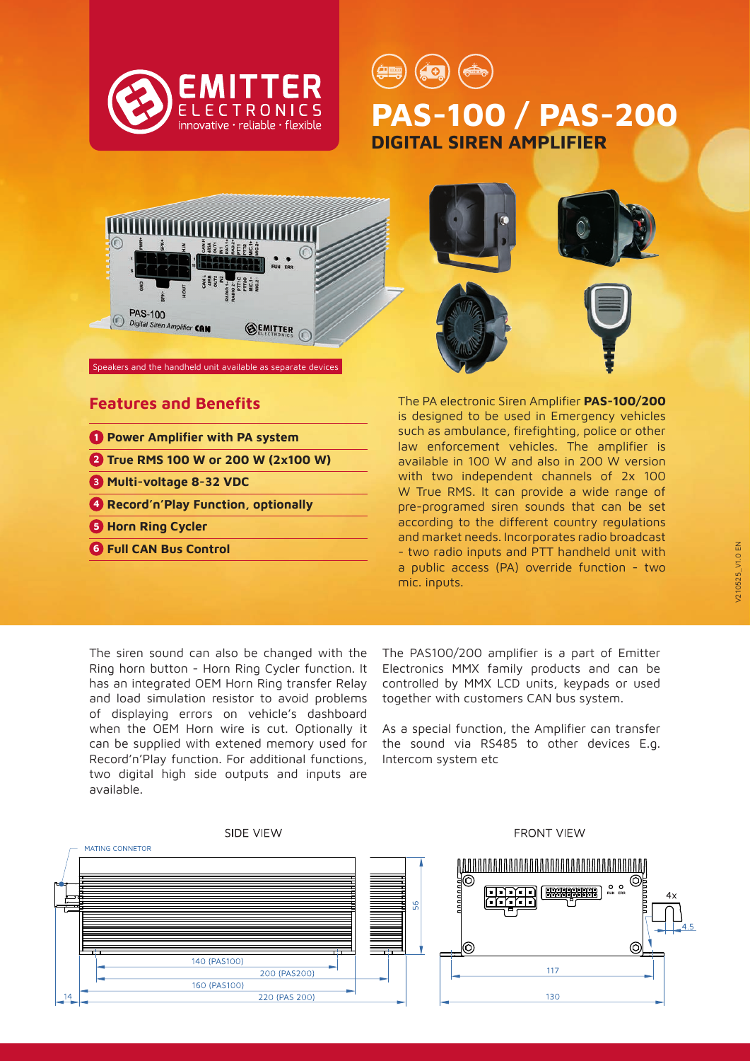

**PAS-100 / PAS-200 DIGITAL SIREN AMPLIFIER**



#### Speakers and the handheld unit available as separate devices

#### **Features and Benefits**

- **1 Power Amplifier with PA system**
- **2 True RMS 100 W or 200 W (2x100 W)**
- **3 Multi-voltage 8-32 VDC**
- **4 Record'n'Play Function, optionally**
- **5 Horn Ring Cycler**
- **6 Full CAN Bus Control**



The PA electronic Siren Amplifier **PAS-100/200**  is designed to be used in Emergency vehicles such as ambulance, firefighting, police or other law enforcement vehicles. The amplifier is available in 100 W and also in 200 W version with two independent channels of 2x 100 W True RMS. It can provide a wide range of pre-programed siren sounds that can be set according to the different country regulations and market needs. Incorporates radio broadcast - two radio inputs and PTT handheld unit with a public access (PA) override function - two mic. inputs.

The siren sound can also be changed with the Ring horn button - Horn Ring Cycler function. It has an integrated OEM Horn Ring transfer Relay and load simulation resistor to avoid problems of displaying errors on vehicle's dashboard when the OEM Horn wire is cut. Optionally it can be supplied with extened memory used for Record'n'Play function. For additional functions, two digital high side outputs and inputs are available.

The PAS100/200 amplifier is a part of Emitter Electronics MMX family products and can be controlled by MMX LCD units, keypads or used together with customers CAN bus system.

As a special function, the Amplifier can transfer the sound via RS485 to other devices E.g. Intercom system etc

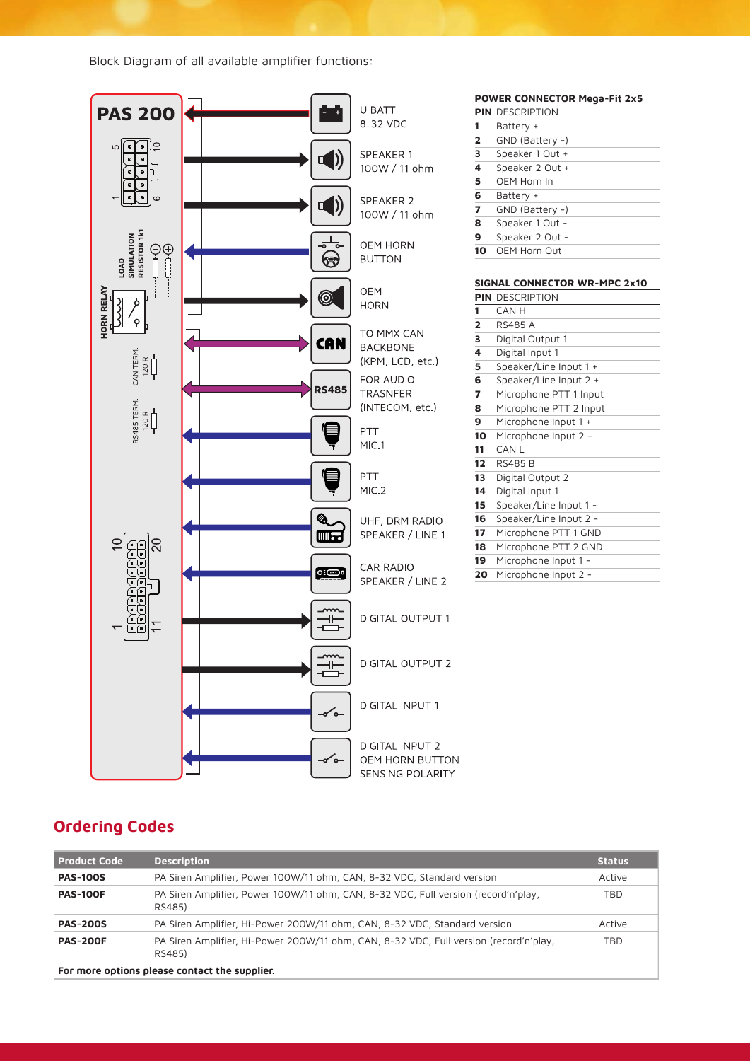Block Diagram of all available amplifier functions:



## **Ordering Codes**

| <b>Product Code</b>                           | <b>Description</b>                                                                              | <b>Status</b> |
|-----------------------------------------------|-------------------------------------------------------------------------------------------------|---------------|
| <b>PAS-100S</b>                               | PA Siren Amplifier, Power 100W/11 ohm, CAN, 8-32 VDC, Standard version                          | Active        |
| <b>PAS-100F</b>                               | PA Siren Amplifier, Power 100W/11 ohm, CAN, 8-32 VDC, Full version (record'n'play,<br>RS485)    | <b>TBD</b>    |
| <b>PAS-200S</b>                               | PA Siren Amplifier, Hi-Power 200W/11 ohm, CAN, 8-32 VDC, Standard version                       | Active        |
| <b>PAS-200F</b>                               | PA Siren Amplifier, Hi-Power 200W/11 ohm, CAN, 8-32 VDC, Full version (record'n'play,<br>RS485) | <b>TBD</b>    |
| For more options please contact the supplier. |                                                                                                 |               |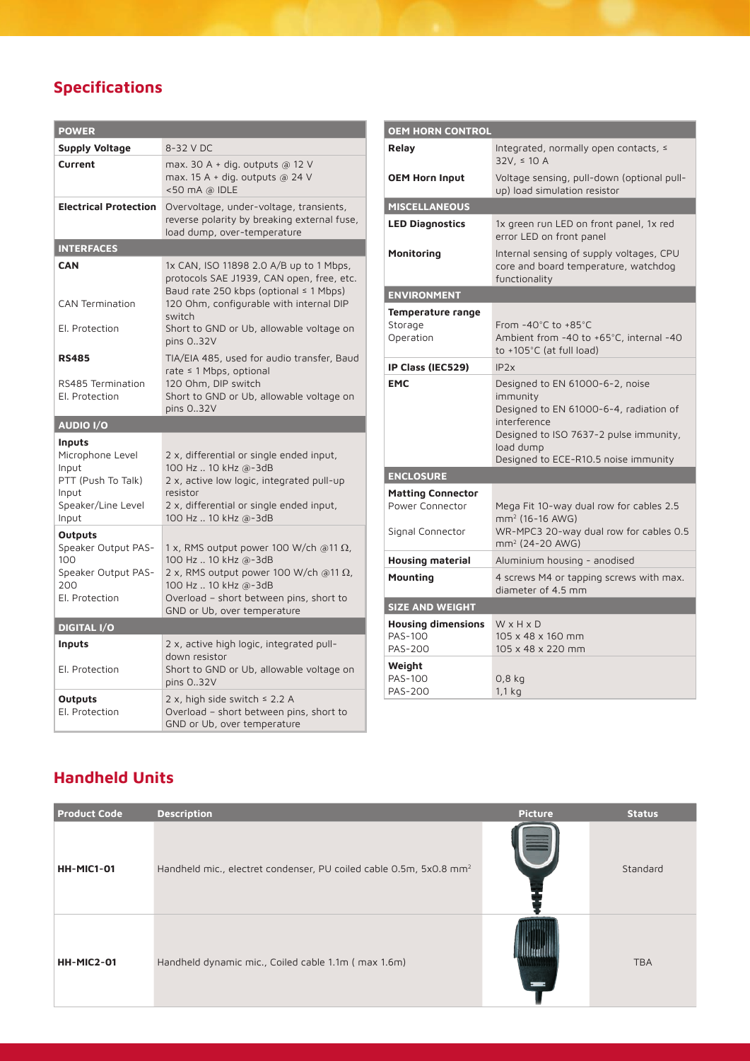# **Specifications**

| <b>POWER</b>                                                                                      |                                                                                                                                                                                                                         |  |  |  |
|---------------------------------------------------------------------------------------------------|-------------------------------------------------------------------------------------------------------------------------------------------------------------------------------------------------------------------------|--|--|--|
| <b>Supply Voltage</b>                                                                             | 8-32 V DC                                                                                                                                                                                                               |  |  |  |
| Current                                                                                           | max. 30 A + dig. outputs @ 12 V<br>max. 15 A + dig. outputs $a$ 24 V<br><50 mA @ IDLE                                                                                                                                   |  |  |  |
| <b>Electrical Protection</b>                                                                      | Overvoltage, under-voltage, transients,<br>reverse polarity by breaking external fuse,<br>load dump, over-temperature                                                                                                   |  |  |  |
| <b>INTERFACES</b>                                                                                 |                                                                                                                                                                                                                         |  |  |  |
| <b>CAN</b>                                                                                        | 1x CAN, ISO 11898 2.0 A/B up to 1 Mbps,<br>protocols SAE J1939, CAN open, free, etc.<br>Baud rate 250 kbps (optional $\leq$ 1 Mbps)                                                                                     |  |  |  |
| CAN Termination                                                                                   | 120 Ohm, configurable with internal DIP<br>switch                                                                                                                                                                       |  |  |  |
| El. Protection                                                                                    | Short to GND or Ub, allowable voltage on<br>pins 032V                                                                                                                                                                   |  |  |  |
| <b>RS485</b><br>RS485 Termination<br>El. Protection                                               | TIA/EIA 485, used for audio transfer, Baud<br>rate ≤ 1 Mbps, optional<br>120 Ohm, DIP switch<br>Short to GND or Ub, allowable voltage on<br>pins 032V                                                                   |  |  |  |
| AUDIO I/O                                                                                         |                                                                                                                                                                                                                         |  |  |  |
| Inputs<br>Microphone Level<br>Input<br>PTT (Push To Talk)<br>Input<br>Speaker/Line Level<br>Input | 2 x, differential or single ended input,<br>100 Hz  10 kHz @-3dB<br>2 x, active low logic, integrated pull-up<br>resistor<br>2 x, differential or single ended input,<br>100 Hz  10 kHz @-3dB                           |  |  |  |
| Outputs<br>Speaker Output PAS-<br>100<br>Speaker Output PAS-<br>200<br>El. Protection             | 1 x, RMS output power 100 W/ch @11 $\Omega$ ,<br>100 Hz 10 kHz @-3dB<br>2 x, RMS output power 100 W/ch @11 $\Omega$ ,<br>100 Hz  10 kHz @-3dB<br>Overload - short between pins, short to<br>GND or Ub, over temperature |  |  |  |
| <b>DIGITAL I/O</b>                                                                                |                                                                                                                                                                                                                         |  |  |  |
| Inputs<br>El. Protection                                                                          | 2 x, active high logic, integrated pull-<br>down resistor<br>Short to GND or Ub, allowable voltage on<br>pins 032V                                                                                                      |  |  |  |
| Outputs<br>El. Protection                                                                         | 2 x, high side switch $\leq$ 2.2 A<br>Overload - short between pins, short to<br>GND or Ub, over temperature                                                                                                            |  |  |  |

| <b>OEM HORN CONTROL</b>                                         |                                                                                                                                                                                                      |  |  |  |
|-----------------------------------------------------------------|------------------------------------------------------------------------------------------------------------------------------------------------------------------------------------------------------|--|--|--|
| Relay                                                           | Integrated, normally open contacts, ≤<br>$32V, \le 10 A$                                                                                                                                             |  |  |  |
| <b>OEM Horn Input</b>                                           | Voltage sensing, pull-down (optional pull-<br>up) load simulation resistor                                                                                                                           |  |  |  |
| <b>MISCELLANEOUS</b>                                            |                                                                                                                                                                                                      |  |  |  |
| <b>LED Diagnostics</b>                                          | 1x green run LED on front panel, 1x red<br>error LED on front panel                                                                                                                                  |  |  |  |
| Monitoring                                                      | Internal sensing of supply voltages, CPU<br>core and board temperature, watchdog<br>functionality                                                                                                    |  |  |  |
| <b>ENVIRONMENT</b>                                              |                                                                                                                                                                                                      |  |  |  |
| Temperature range<br>Storage<br>Operation                       | From -40°C to +85°C<br>Ambient from -40 to +65°C, internal -40<br>to $+105^{\circ}$ C (at full load)                                                                                                 |  |  |  |
| IP Class (IEC529)                                               | IP2x                                                                                                                                                                                                 |  |  |  |
| <b>EMC</b>                                                      | Designed to EN 61000-6-2, noise<br>immunity<br>Designed to EN 61000-6-4, radiation of<br>interference<br>Designed to ISO 7637-2 pulse immunity,<br>load dump<br>Designed to ECE-R10.5 noise immunity |  |  |  |
| <b>ENCLOSURE</b>                                                |                                                                                                                                                                                                      |  |  |  |
| <b>Matting Connector</b><br>Power Connector<br>Signal Connector | Mega Fit 10-way dual row for cables 2.5<br>$mm2$ (16-16 AWG)<br>WR-MPC3 20-way dual row for cables 0.5<br>mm <sup>2</sup> (24-20 AWG)                                                                |  |  |  |
| <b>Housing material</b>                                         | Aluminium housing - anodised                                                                                                                                                                         |  |  |  |
| Mounting                                                        | 4 screws M4 or tapping screws with max.<br>diameter of 4.5 mm                                                                                                                                        |  |  |  |
| <b>SIZE AND WEIGHT</b>                                          |                                                                                                                                                                                                      |  |  |  |
| <b>Housing dimensions</b><br><b>PAS-100</b><br><b>PAS-200</b>   | WxHxD<br>105 x 48 x 160 mm<br>105 x 48 x 220 mm                                                                                                                                                      |  |  |  |
| Weight<br><b>PAS-100</b><br><b>PAS-200</b>                      | 0,8 kg<br>1.1 <sub>kq</sub>                                                                                                                                                                          |  |  |  |

### **Handheld Units**

| <b>Product Code</b> | <b>Description</b>                                                             | <b>Picture</b> | <b>Status</b> |
|---------------------|--------------------------------------------------------------------------------|----------------|---------------|
| HH-MIC1-01          | Handheld mic., electret condenser, PU coiled cable 0.5m, 5x0.8 mm <sup>2</sup> |                | Standard      |
| <b>HH-MIC2-01</b>   | Handheld dynamic mic., Coiled cable 1.1m (max 1.6m)                            |                | <b>TBA</b>    |